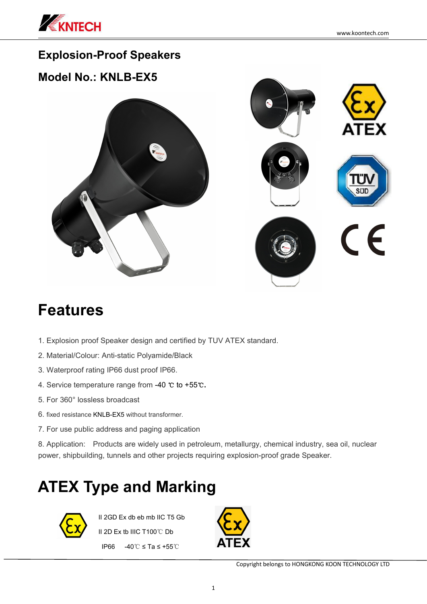

### **Explosion-Proof Speakers**

### **Model No.: KNLB-EX5**



## **Features**

- 1. Explosion proof Speaker design and certified by TUV ATEX standard.
- 2. Material/Colour: Anti-static Polyamide/Black
- 3. Waterproof rating IP66 dust proof IP66.
- 4. Service temperature range from -40 ℃ to +55℃**.**
- 5. For 360° lossless broadcast
- 6. fixed resistance KNLB-EX5 without transformer.
- 7. For use public address and paging application

8. Application: Products are widely used in petroleum, metallurgy, chemical industry, sea oil, nuclear power, shipbuilding, tunnels and other projects requiring explosion-proof grade Speaker.

# **ATEX Type and Marking**



II 2GD Ex db eb mb IIC T5 Gb II 2D Ex tb IIIC T100℃ Db IP66 -40℃ ≤ Ta ≤ +55℃

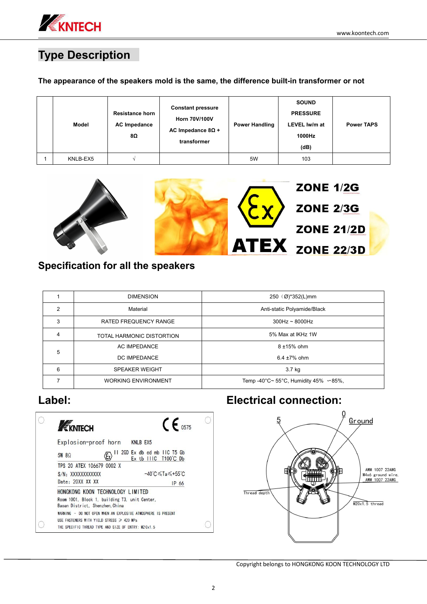

## **Type Description**

### **The appearance of the speakers mold is the same, the difference built-in transformer or not**

| Model    | <b>Resistance horn</b><br><b>AC Impedance</b><br>8Ω | <b>Constant pressure</b><br>Horn 70V/100V<br>AC Impedance $8\Omega$ +<br>transformer | <b>Power Handling</b> | <b>SOUND</b><br><b>PRESSURE</b><br>LEVEL Iw/m at<br>1000Hz<br>(dB) | <b>Power TAPS</b> |
|----------|-----------------------------------------------------|--------------------------------------------------------------------------------------|-----------------------|--------------------------------------------------------------------|-------------------|
| KNLB-EX5 |                                                     |                                                                                      | 5W                    | 103                                                                |                   |



### **Specification for all the speakers**

|   | <b>DIMENSION</b>           | 250 $(\emptyset)^*352(L)$ mm                |
|---|----------------------------|---------------------------------------------|
| 2 | Material                   | Anti-static Polyamide/Black                 |
| 3 | RATED FREQUENCY RANGE      | $300$ Hz ~ 8000Hz                           |
| 4 | TOTAL HARMONIC DISTORTION  | 5% Max at IKHz 1W                           |
| 5 | AC IMPEDANCE               | 8 ±15% ohm                                  |
|   | DC IMPEDANCE               | 6.4 $\pm$ 7% ohm                            |
| 6 | <b>SPEAKER WEIGHT</b>      | 3.7 kg                                      |
|   | <b>WORKING ENVIRONMENT</b> | Temp -40°C~ 55°C, Humidity 45% $~\sim$ 85%, |

| EKNTECH                                        | $C_{6575}$                                                     |
|------------------------------------------------|----------------------------------------------------------------|
| Explosion-proof horn                           | <b>KNLB EX5</b>                                                |
| $5W$ 8 $\Omega$                                | 2GD Ex db ed mb IIC T5 Gb<br>н<br>T100°C Db<br>Ex<br>IC.<br>tb |
| TPS 20 ATEX 106679 0002 X                      |                                                                |
| S/N: XXXXXXXXXXX                               | $-40^{\circ}$ C $\leq$ Ta $\leq$ +55 $^{\circ}$ C              |
| Date: 20XX XX XX                               | IP 66                                                          |
| HONGKONG KOON TECHNOLOGY LIMITED               |                                                                |
| Baoan District. Shenzhen, China                | Room 1001, Block 1, building T3, unit Center,                  |
|                                                | WARNING - DO NOT OPEN WHEN AN EXPLOSIVE ATMOSPHERE IS PRESENT  |
| USE FASTENERS WITH YIELD STRESS $\geq 420$ MPa |                                                                |
|                                                | THE SPECIFIC THREAD TYPE AND SIZE OF ENTRY: M20x1.5            |

## **Label: Electrical connection:**



Copyright belongs to HONGKONG KOON TECHNOLOGY LTD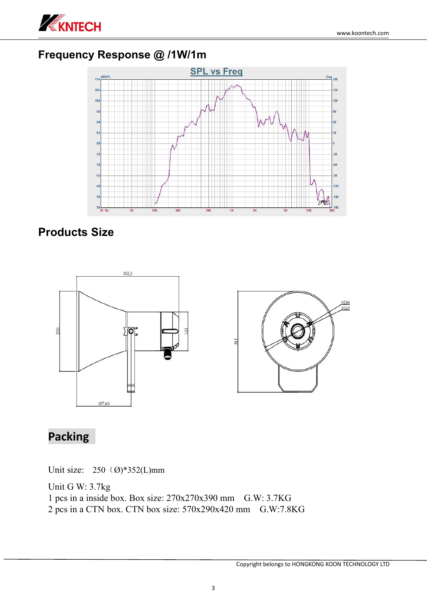

### **Frequency Response @ /1W/1m**



### **Products Size**



## **Packing**

Unit size:  $250$  (Ø)\*352(L)mm

Unit G W: 3.7kg 1 pcs in a inside box. Box size: 270x270x390 mm G.W: 3.7KG 2 pcs in a CTN box. CTN box size: 570x290x420 mm G.W:7.8KG